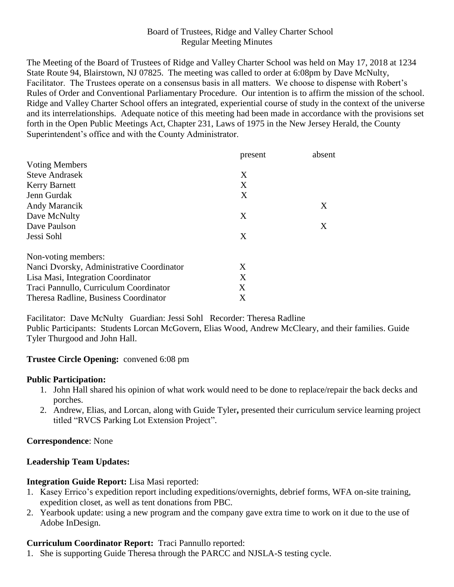### Board of Trustees, Ridge and Valley Charter School Regular Meeting Minutes

The Meeting of the Board of Trustees of Ridge and Valley Charter School was held on May 17, 2018 at 1234 State Route 94, Blairstown, NJ 07825. The meeting was called to order at 6:08pm by Dave McNulty, Facilitator. The Trustees operate on a consensus basis in all matters. We choose to dispense with Robert's Rules of Order and Conventional Parliamentary Procedure. Our intention is to affirm the mission of the school. Ridge and Valley Charter School offers an integrated, experiential course of study in the context of the universe and its interrelationships. Adequate notice of this meeting had been made in accordance with the provisions set forth in the Open Public Meetings Act, Chapter 231, Laws of 1975 in the New Jersey Herald, the County Superintendent's office and with the County Administrator.

|                                           | present | absent |
|-------------------------------------------|---------|--------|
| <b>Voting Members</b>                     |         |        |
| <b>Steve Andrasek</b>                     | X       |        |
| <b>Kerry Barnett</b>                      | X       |        |
| Jenn Gurdak                               | X       |        |
| Andy Marancik                             |         | X      |
| Dave McNulty                              | X       |        |
| Dave Paulson                              |         | Χ      |
| Jessi Sohl                                | X       |        |
| Non-voting members:                       |         |        |
| Nanci Dvorsky, Administrative Coordinator | X       |        |
| Lisa Masi, Integration Coordinator        | X       |        |
| Traci Pannullo, Curriculum Coordinator    | X       |        |
| Theresa Radline, Business Coordinator     | X       |        |

Facilitator: Dave McNulty Guardian: Jessi Sohl Recorder: Theresa Radline Public Participants: Students Lorcan McGovern, Elias Wood, Andrew McCleary, and their families. Guide Tyler Thurgood and John Hall.

### **Trustee Circle Opening:** convened 6:08 pm

#### **Public Participation:**

- 1. John Hall shared his opinion of what work would need to be done to replace/repair the back decks and porches.
- 2. Andrew, Elias, and Lorcan, along with Guide Tyler**,** presented their curriculum service learning project titled "RVCS Parking Lot Extension Project".

**Correspondence**: None

### **Leadership Team Updates:**

### **Integration Guide Report:** Lisa Masi reported:

- 1. Kasey Errico's expedition report including expeditions/overnights, debrief forms, WFA on-site training, expedition closet, as well as tent donations from PBC.
- 2. Yearbook update: using a new program and the company gave extra time to work on it due to the use of Adobe InDesign.

### **Curriculum Coordinator Report:** Traci Pannullo reported:

1. She is supporting Guide Theresa through the PARCC and NJSLA-S testing cycle.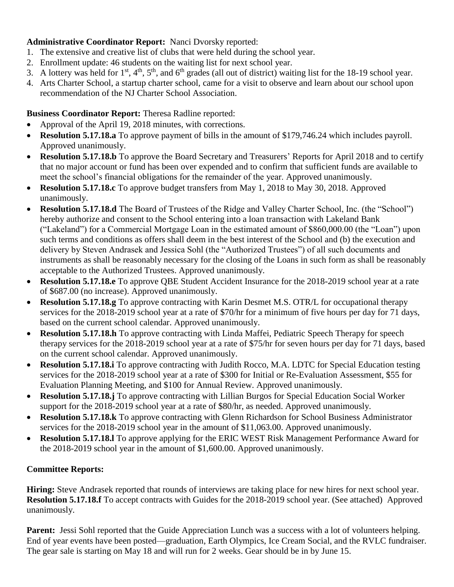# **Administrative Coordinator Report:** Nanci Dvorsky reported:

- 1. The extensive and creative list of clubs that were held during the school year.
- 2. Enrollment update: 46 students on the waiting list for next school year.
- 3. A lottery was held for  $1^{st}$ ,  $4^{th}$ ,  $5^{th}$ , and  $6^{th}$  grades (all out of district) waiting list for the 18-19 school year.
- 4. Arts Charter School, a startup charter school, came for a visit to observe and learn about our school upon recommendation of the NJ Charter School Association.

# **Business Coordinator Report:** Theresa Radline reported:

- Approval of the April 19, 2018 minutes, with corrections.
- **Resolution 5.17.18.a** To approve payment of bills in the amount of \$179,746.24 which includes payroll. Approved unanimously.
- **Resolution 5.17.18.b** To approve the Board Secretary and Treasurers' Reports for April 2018 and to certify that no major account or fund has been over expended and to confirm that sufficient funds are available to meet the school's financial obligations for the remainder of the year. Approved unanimously.
- **Resolution 5.17.18.c** To approve budget transfers from May 1, 2018 to May 30, 2018. Approved unanimously.
- **Resolution 5.17.18.d** The Board of Trustees of the Ridge and Valley Charter School, Inc. (the "School") hereby authorize and consent to the School entering into a loan transaction with Lakeland Bank ("Lakeland") for a Commercial Mortgage Loan in the estimated amount of \$860,000.00 (the "Loan") upon such terms and conditions as offers shall deem in the best interest of the School and (b) the execution and delivery by Steven Andrasek and Jessica Sohl (the "Authorized Trustees") of all such documents and instruments as shall be reasonably necessary for the closing of the Loans in such form as shall be reasonably acceptable to the Authorized Trustees. Approved unanimously.
- **Resolution 5.17.18.e** To approve QBE Student Accident Insurance for the 2018-2019 school year at a rate of \$687.00 (no increase). Approved unanimously.
- **Resolution 5.17.18.g** To approve contracting with Karin Desmet M.S. OTR/L for occupational therapy services for the 2018-2019 school year at a rate of \$70/hr for a minimum of five hours per day for 71 days, based on the current school calendar. Approved unanimously.
- **Resolution 5.17.18.h** To approve contracting with Linda Maffei, Pediatric Speech Therapy for speech therapy services for the 2018-2019 school year at a rate of \$75/hr for seven hours per day for 71 days, based on the current school calendar. Approved unanimously.
- **Resolution 5.17.18.i** To approve contracting with Judith Rocco, M.A. LDTC for Special Education testing services for the 2018-2019 school year at a rate of \$300 for Initial or Re-Evaluation Assessment, \$55 for Evaluation Planning Meeting, and \$100 for Annual Review. Approved unanimously.
- **Resolution 5.17.18.j** To approve contracting with Lillian Burgos for Special Education Social Worker support for the 2018-2019 school year at a rate of \$80/hr, as needed. Approved unanimously.
- **Resolution 5.17.18.k** To approve contracting with Glenn Richardson for School Business Administrator services for the 2018-2019 school year in the amount of \$11,063.00. Approved unanimously.
- **Resolution 5.17.18.l** To approve applying for the ERIC WEST Risk Management Performance Award for the 2018-2019 school year in the amount of \$1,600.00. Approved unanimously.

# **Committee Reports:**

**Hiring:** Steve Andrasek reported that rounds of interviews are taking place for new hires for next school year. **Resolution 5.17.18.f** To accept contracts with Guides for the 2018-2019 school year. (See attached) Approved unanimously.

**Parent:** Jessi Sohl reported that the Guide Appreciation Lunch was a success with a lot of volunteers helping. End of year events have been posted—graduation, Earth Olympics, Ice Cream Social, and the RVLC fundraiser. The gear sale is starting on May 18 and will run for 2 weeks. Gear should be in by June 15.